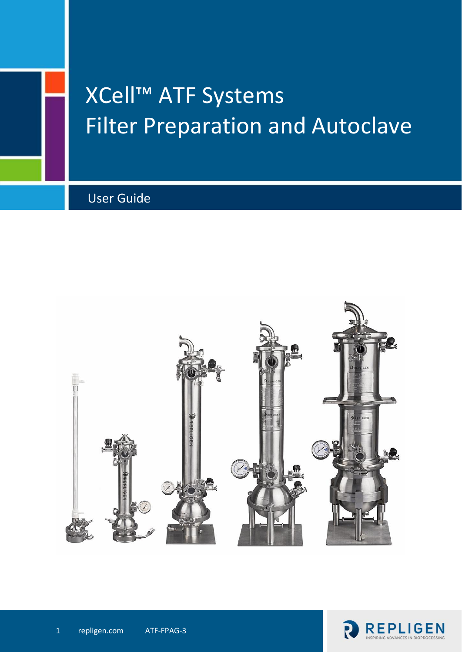

# XCell™ ATF Systems Filter Preparation and Autoclave

User Guide



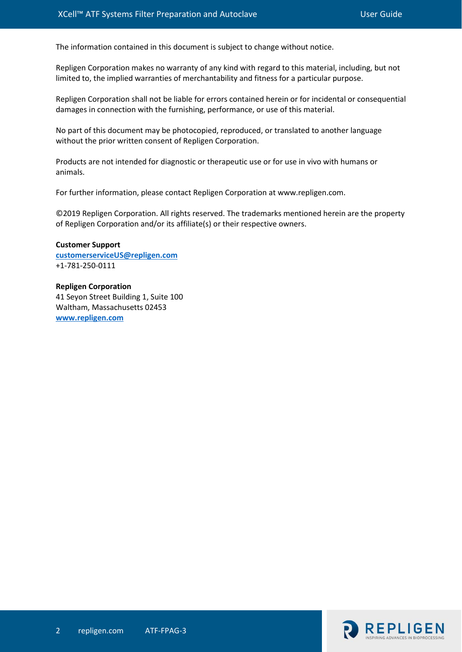The information contained in this document is subject to change without notice.

Repligen Corporation makes no warranty of any kind with regard to this material, including, but not limited to, the implied warranties of merchantability and fitness for a particular purpose.

Repligen Corporation shall not be liable for errors contained herein or for incidental or consequential damages in connection with the furnishing, performance, or use of this material.

No part of this document may be photocopied, reproduced, or translated to another language without the prior written consent of Repligen Corporation.

Products are not intended for diagnostic or therapeutic use or for use in vivo with humans or animals.

For further information, please contact Repligen Corporation at www.repligen.com.

©2019 Repligen Corporation. All rights reserved. The trademarks mentioned herein are the property of Repligen Corporation and/or its affiliate(s) or their respective owners.

**Customer Support [customerserviceUS@repligen.com](mailto:customerserviceUS@repligen.com)** +1-781-250-0111

**Repligen Corporation** 41 Seyon Street Building 1, Suite 100 Waltham, Massachusetts 02453 **[www.repligen.com](http://www.repligen.com/)**

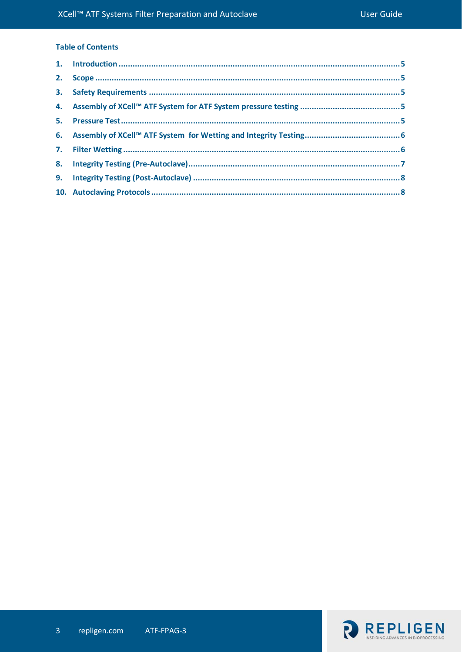# **Table of Contents**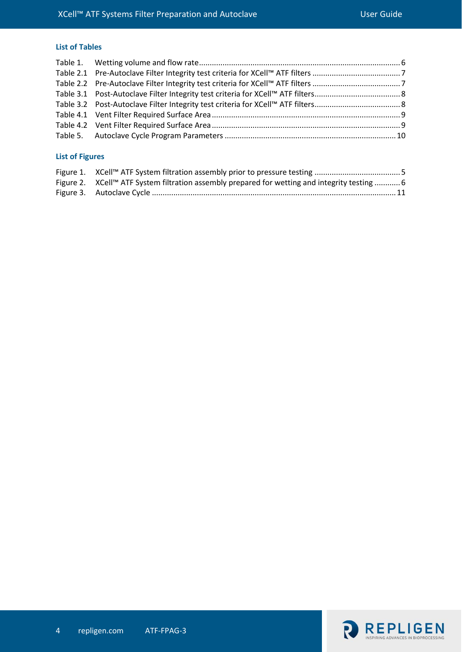# **List of Tables**

# **List of Figures**

| Figure 2. XCell™ ATF System filtration assembly prepared for wetting and integrity testing  6 |  |
|-----------------------------------------------------------------------------------------------|--|
|                                                                                               |  |

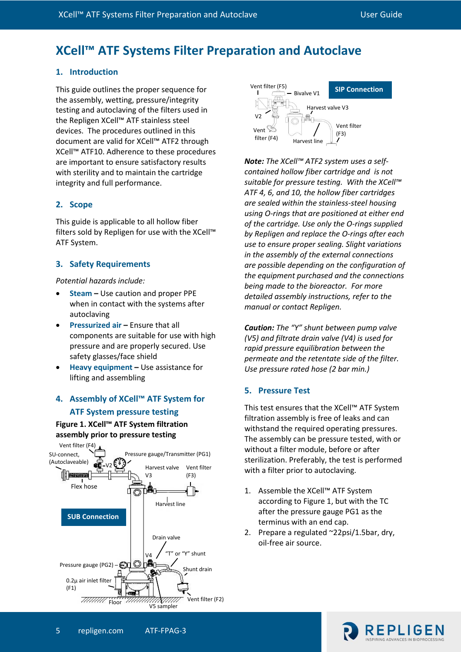# **XCell™ ATF Systems Filter Preparation and Autoclave**

## <span id="page-4-0"></span>**1. Introduction**

This guide outlines the proper sequence for the assembly, wetting, pressure/integrity testing and autoclaving of the filters used in the Repligen XCell™ ATF stainless steel devices. The procedures outlined in this document are valid for XCell™ ATF2 through XCell™ ATF10. Adherence to these procedures are important to ensure satisfactory results with sterility and to maintain the cartridge integrity and full performance.

## <span id="page-4-1"></span>**2. Scope**

This guide is applicable to all hollow fiber filters sold by Repligen for use with the XCell™ ATF System.

# <span id="page-4-2"></span>**3. Safety Requirements**

*Potential hazards include:*

- **Steam –** Use caution and proper PPE when in contact with the systems after autoclaving
- **Pressurized air –** Ensure that all components are suitable for use with high pressure and are properly secured. Use safety glasses/face shield
- **Heavy equipment –** Use assistance for lifting and assembling

# <span id="page-4-3"></span>**4. Assembly of XCell™ ATF System for ATF System pressure testing**

# <span id="page-4-5"></span>**Figure 1. XCell™ ATF System filtration assembly prior to pressure testing**





*Note: The XCell™ ATF2 system uses a selfcontained hollow fiber cartridge and is not suitable for pressure testing. With the XCell™ ATF 4, 6, and 10, the hollow fiber cartridges are sealed within the stainless-steel housing using O-rings that are positioned at either end of the cartridge. Use only the O-rings supplied by Repligen and replace the O-rings after each use to ensure proper sealing. Slight variations in the assembly of the external connections are possible depending on the configuration of the equipment purchased and the connections being made to the bioreactor. For more detailed assembly instructions, refer to the manual or contact Repligen.*

*Caution: The "Y" shunt between pump valve (V5) and filtrate drain valve (V4) is used for rapid pressure equilibration between the permeate and the retentate side of the filter. Use pressure rated hose (2 bar min.)*

## <span id="page-4-4"></span>**5. Pressure Test**

This test ensures that the XCell™ ATF System filtration assembly is free of leaks and can withstand the required operating pressures. The assembly can be pressure tested, with or without a filter module, before or after sterilization. Preferably, the test is performed with a filter prior to autoclaving.

- 1. Assemble the XCell™ ATF System according to Figure 1, but with the TC after the pressure gauge PG1 as the terminus with an end cap.
- 2. Prepare a regulated ~22psi/1.5bar, dry, oil-free air source.

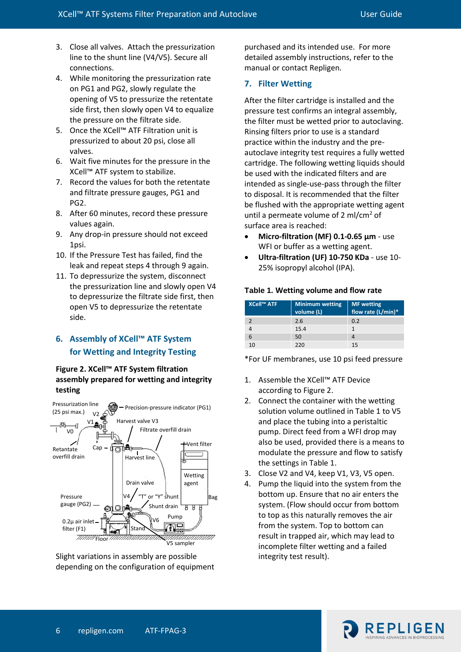- 3. Close all valves. Attach the pressurization line to the shunt line (V4/V5). Secure all connections.
- 4. While monitoring the pressurization rate on PG1 and PG2, slowly regulate the opening of V5 to pressurize the retentate side first, then slowly open V4 to equalize the pressure on the filtrate side.
- 5. Once the XCell™ ATF Filtration unit is pressurized to about 20 psi, close all valves.
- 6. Wait five minutes for the pressure in the XCell™ ATF system to stabilize.
- 7. Record the values for both the retentate and filtrate pressure gauges, PG1 and PG2.
- 8. After 60 minutes, record these pressure values again.
- 9. Any drop-in pressure should not exceed 1psi.
- 10. If the Pressure Test has failed, find the leak and repeat steps 4 through 9 again.
- 11. To depressurize the system, disconnect the pressurization line and slowly open V4 to depressurize the filtrate side first, then open V5 to depressurize the retentate side.

# <span id="page-5-0"></span>**6. Assembly of XCell™ ATF System for Wetting and Integrity Testing**

#### <span id="page-5-3"></span>**Figure 2. XCell™ ATF System filtration assembly prepared for wetting and integrity testing**



Slight variations in assembly are possible depending on the configuration of equipment purchased and its intended use. For more detailed assembly instructions, refer to the manual or contact Repligen.

#### <span id="page-5-1"></span>**7. Filter Wetting**

After the filter cartridge is installed and the pressure test confirms an integral assembly, the filter must be wetted prior to autoclaving. Rinsing filters prior to use is a standard practice within the industry and the preautoclave integrity test requires a fully wetted cartridge. The following wetting liquids should be used with the indicated filters and are intended as single-use-pass through the filter to disposal. It is recommended that the filter be flushed with the appropriate wetting agent until a permeate volume of 2 ml/cm<sup>2</sup> of surface area is reached:

- **Micro-filtration (MF) 0.1-0.65 µm** use WFI or buffer as a wetting agent.
- **Ultra-filtration (UF) 10-750 KDa** use 10- 25% isopropyl alcohol (IPA).

#### <span id="page-5-2"></span>**Table 1. Wetting volume and flow rate**

| XCell™ ATF | <b>Minimum wetting</b><br>volume (L) | <b>MF</b> wetting<br>flow rate (L/min)* |
|------------|--------------------------------------|-----------------------------------------|
|            | 2.6                                  | 0.2                                     |
|            | 15.4                                 |                                         |
| 6          | 50                                   |                                         |
| 10         | 220                                  | 15                                      |

\*For UF membranes, use 10 psi feed pressure

- 1. Assemble the XCell™ ATF Device according to Figure 2.
- 2. Connect the container with the wetting solution volume outlined in Table 1 to V5 and place the tubing into a peristaltic pump. Direct feed from a WFI drop may also be used, provided there is a means to modulate the pressure and flow to satisfy the settings in Table 1.
- 3. Close V2 and V4, keep V1, V3, V5 open.
- 4. Pump the liquid into the system from the bottom up. Ensure that no air enters the system. (Flow should occur from bottom to top as this naturally removes the air from the system. Top to bottom can result in trapped air, which may lead to incomplete filter wetting and a failed integrity test result).

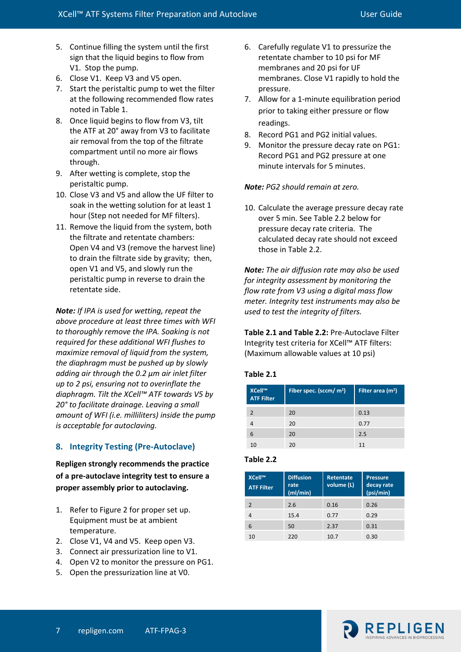- 5. Continue filling the system until the first sign that the liquid begins to flow from V1. Stop the pump.
- 6. Close V1. Keep V3 and V5 open.
- 7. Start the peristaltic pump to wet the filter at the following recommended flow rates noted in Table 1.
- 8. Once liquid begins to flow from V3, tilt the ATF at 20° away from V3 to facilitate air removal from the top of the filtrate compartment until no more air flows through.
- 9. After wetting is complete, stop the peristaltic pump.
- 10. Close V3 and V5 and allow the UF filter to soak in the wetting solution for at least 1 hour (Step not needed for MF filters).
- 11. Remove the liquid from the system, both the filtrate and retentate chambers: Open V4 and V3 (remove the harvest line) to drain the filtrate side by gravity; then, open V1 and V5, and slowly run the peristaltic pump in reverse to drain the retentate side.

*Note: If IPA is used for wetting, repeat the above procedure at least three times with WFI to thoroughly remove the IPA. Soaking is not required for these additional WFI flushes to maximize removal of liquid from the system, the diaphragm must be pushed up by slowly adding air through the 0.2 µm air inlet filter up to 2 psi, ensuring not to overinflate the diaphragm. Tilt the XCell™ ATF towards V5 by 20° to facilitate drainage. Leaving a small amount of WFI (i.e. milliliters) inside the pump is acceptable for autoclaving.*

# <span id="page-6-0"></span>**8. Integrity Testing (Pre-Autoclave)**

**Repligen strongly recommends the practice of a pre-autoclave integrity test to ensure a proper assembly prior to autoclaving.**

- 1. Refer to Figure 2 for proper set up. Equipment must be at ambient temperature.
- 2. Close V1, V4 and V5. Keep open V3.
- 3. Connect air pressurization line to V1.
- 4. Open V2 to monitor the pressure on PG1.
- 5. Open the pressurization line at V0.
- 6. Carefully regulate V1 to pressurize the retentate chamber to 10 psi for MF membranes and 20 psi for UF membranes. Close V1 rapidly to hold the pressure.
- 7. Allow for a 1-minute equilibration period prior to taking either pressure or flow readings.
- 8. Record PG1 and PG2 initial values.
- 9. Monitor the pressure decay rate on PG1: Record PG1 and PG2 pressure at one minute intervals for 5 minutes.

# *Note: PG2 should remain at zero.*

10. Calculate the average pressure decay rate over 5 min. See Table 2.2 below for pressure decay rate criteria. The calculated decay rate should not exceed those in Table 2.2.

*Note: The air diffusion rate may also be used for integrity assessment by monitoring the flow rate from V3 using a digital mass flow meter. Integrity test instruments may also be used to test the integrity of filters.* 

**Table 2.1 and Table 2.2:** Pre-Autoclave Filter Integrity test criteria for XCell™ ATF filters: (Maximum allowable values at 10 psi)

# <span id="page-6-1"></span>**Table 2.1**

| XCell™<br><b>ATF Filter</b> | Fiber spec. (sccm/ $m2$ ) | Filter area (m <sup>2</sup> ) |  |
|-----------------------------|---------------------------|-------------------------------|--|
| $\mathcal{P}$               | 20                        | 0.13                          |  |
|                             | 20                        | 0.77                          |  |
| 6                           | 20                        | 2.5                           |  |
| 10                          | 20                        | 11                            |  |

# **Table 2.2**

| XCell™<br><b>ATF Filter</b> | <b>Diffusion</b><br>rate<br>(mI/min) | <b>Retentate</b><br>volume (L) | <b>Pressure</b><br>decay rate<br>(psi/min) |
|-----------------------------|--------------------------------------|--------------------------------|--------------------------------------------|
| $\mathcal{P}$               | 2.6                                  | 0.16                           | 0.26                                       |
| 4                           | 15.4                                 | 0.77                           | 0.29                                       |
| 6                           | 50                                   | 2.37                           | 0.31                                       |
| 10                          | 220                                  | 10.7                           | 0.30                                       |

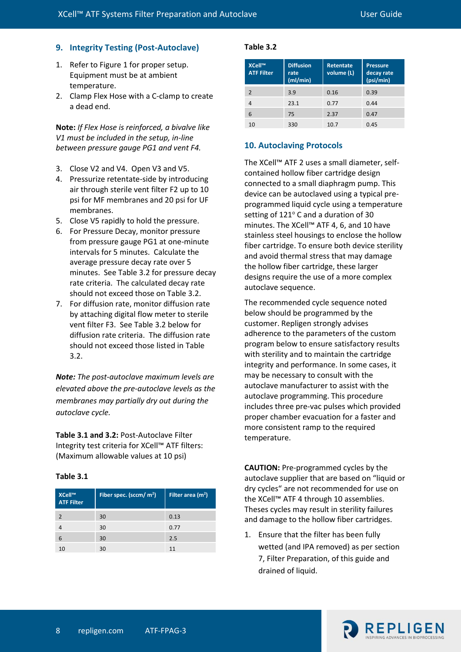## <span id="page-7-0"></span>**9. Integrity Testing (Post-Autoclave)**

- 1. Refer to Figure 1 for proper setup. Equipment must be at ambient temperature.
- 2. Clamp Flex Hose with a C-clamp to create a dead end.

**Note:** *If Flex Hose is reinforced, a bivalve like V1 must be included in the setup, in-line between pressure gauge PG1 and vent F4.*

- 3. Close V2 and V4. Open V3 and V5.
- 4. Pressurize retentate-side by introducing air through sterile vent filter F2 up to 10 psi for MF membranes and 20 psi for UF membranes.
- 5. Close V5 rapidly to hold the pressure.
- 6. For Pressure Decay, monitor pressure from pressure gauge PG1 at one-minute intervals for 5 minutes. Calculate the average pressure decay rate over 5 minutes. See Table 3.2 for pressure decay rate criteria. The calculated decay rate should not exceed those on Table 3.2.
- 7. For diffusion rate, monitor diffusion rate by attaching digital flow meter to sterile vent filter F3. See Table 3.2 below for diffusion rate criteria. The diffusion rate should not exceed those listed in Table 3.2.

*Note: The post-autoclave maximum levels are elevated above the pre-autoclave levels as the membranes may partially dry out during the autoclave cycle.*

**Table 3.1 and 3.2:** Post-Autoclave Filter Integrity test criteria for XCell™ ATF filters: (Maximum allowable values at 10 psi)

#### **Table 3.1**

| XCell™<br><b>ATF Filter</b> | Fiber spec. (sccm/ m <sup>2</sup> ) | Filter area $(m2)$ |
|-----------------------------|-------------------------------------|--------------------|
|                             | 30                                  | 0.13               |
|                             | 30                                  | 0.77               |
| 6                           | 30                                  | 2.5                |
|                             | 30                                  | 11                 |

#### **Table 3.2**

| XCell™<br><b>ATF Filter</b> | <b>Diffusion</b><br>rate<br>(mI/min) | <b>Retentate</b><br>volume (L) | <b>Pressure</b><br>decay rate<br>(psi/min) |
|-----------------------------|--------------------------------------|--------------------------------|--------------------------------------------|
|                             |                                      |                                |                                            |
| $\mathcal{P}$               | 3.9                                  | 0.16                           | 0.39                                       |
| 4                           | 23.1                                 | 0.77                           | 0.44                                       |
| 6                           | 75                                   | 2.37                           | 0.47                                       |
| 10                          | 330                                  | 10.7                           | 0.45                                       |

#### <span id="page-7-1"></span>**10. Autoclaving Protocols**

The XCell™ ATF 2 uses a small diameter, selfcontained hollow fiber cartridge design connected to a small diaphragm pump. This device can be autoclaved using a typical preprogrammed liquid cycle using a temperature setting of  $121^\circ$  C and a duration of 30 minutes. The XCell™ ATF 4, 6, and 10 have stainless steel housings to enclose the hollow fiber cartridge. To ensure both device sterility and avoid thermal stress that may damage the hollow fiber cartridge, these larger designs require the use of a more complex autoclave sequence.

The recommended cycle sequence noted below should be programmed by the customer. Repligen strongly advises adherence to the parameters of the custom program below to ensure satisfactory results with sterility and to maintain the cartridge integrity and performance. In some cases, it may be necessary to consult with the autoclave manufacturer to assist with the autoclave programming. This procedure includes three pre-vac pulses which provided proper chamber evacuation for a faster and more consistent ramp to the required temperature.

**CAUTION:** Pre-programmed cycles by the autoclave supplier that are based on "liquid or dry cycles" are not recommended for use on the XCell™ ATF 4 through 10 assemblies. Theses cycles may result in sterility failures and damage to the hollow fiber cartridges.

1. Ensure that the filter has been fully wetted (and IPA removed) as per section 7, Filter Preparation, of this guide and drained of liquid.

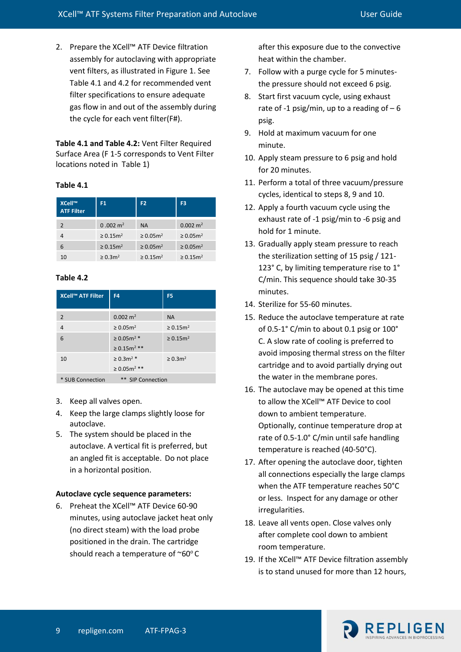2. Prepare the XCell™ ATF Device filtration assembly for autoclaving with appropriate vent filters, as illustrated in Figure 1. See Table 4.1 and 4.2 for recommended vent filter specifications to ensure adequate gas flow in and out of the assembly during the cycle for each vent filter(F#).

**Table 4.1 and Table 4.2:** Vent Filter Required Surface Area (F 1-5 corresponds to Vent Filter locations noted in Table 1)

#### **Table 4.1**

| XCell™<br><b>ATF Filter</b> | F1                         | F <sub>2</sub>             | F <sub>3</sub>             |
|-----------------------------|----------------------------|----------------------------|----------------------------|
| $\mathcal{P}$               | $0.002 \text{ m}^2$        | <b>NA</b>                  | $0.002 \text{ m}^2$        |
| 4                           | $\geq 0.15$ m <sup>2</sup> | $\geq 0.05$ m <sup>2</sup> | $\geq 0.05$ m <sup>2</sup> |
| 6                           | $\geq 0.15$ m <sup>2</sup> | $\geq 0.05$ m <sup>2</sup> | $\geq 0.05$ m <sup>2</sup> |
| 10                          | $\geq 0.3$ m <sup>2</sup>  | $\ge 0.15$ m <sup>2</sup>  | $\geq 0.15$ m <sup>2</sup> |

#### **Table 4.2**

| XCell™ ATF Filter | F <sub>4</sub>                | F <sub>5</sub>            |
|-------------------|-------------------------------|---------------------------|
| $\overline{2}$    | $0.002 \text{ m}^2$           | <b>NA</b>                 |
| $\overline{4}$    | $\geq 0.05$ m <sup>2</sup>    | $\ge 0.15$ m <sup>2</sup> |
| 6                 | $\geq 0.05$ m <sup>2</sup> *  | $\ge 0.15$ m <sup>2</sup> |
|                   | $\geq 0.15$ m <sup>2</sup> ** |                           |
| 10                | $\geq 0.3$ m <sup>2</sup> *   | $\ge 0.3$ m <sup>2</sup>  |
|                   | $\geq 0.05$ m <sup>2</sup> ** |                           |
| * SUB Connection  | ** SIP Connection             |                           |

- 3. Keep all valves open.
- 4. Keep the large clamps slightly loose for autoclave.
- 5. The system should be placed in the autoclave. A vertical fit is preferred, but an angled fit is acceptable. Do not place in a horizontal position.

#### **Autoclave cycle sequence parameters:**

6. Preheat the XCell™ ATF Device 60-90 minutes, using autoclave jacket heat only (no direct steam) with the load probe positioned in the drain. The cartridge should reach a temperature of  $\sim 60^{\circ}$ C

after this exposure due to the convective heat within the chamber.

- 7. Follow with a purge cycle for 5 minutesthe pressure should not exceed 6 psig.
- 8. Start first vacuum cycle, using exhaust rate of -1 psig/min, up to a reading of  $-6$ psig.
- 9. Hold at maximum vacuum for one minute.
- 10. Apply steam pressure to 6 psig and hold for 20 minutes.
- 11. Perform a total of three vacuum/pressure cycles, identical to steps 8, 9 and 10.
- 12. Apply a fourth vacuum cycle using the exhaust rate of -1 psig/min to -6 psig and hold for 1 minute.
- 13. Gradually apply steam pressure to reach the sterilization setting of 15 psig / 121- 123° C, by limiting temperature rise to 1° C/min. This sequence should take 30-35 minutes.
- 14. Sterilize for 55-60 minutes.
- 15. Reduce the autoclave temperature at rate of 0.5-1° C/min to about 0.1 psig or 100° C. A slow rate of cooling is preferred to avoid imposing thermal stress on the filter cartridge and to avoid partially drying out the water in the membrane pores.
- 16. The autoclave may be opened at this time to allow the XCell™ ATF Device to cool down to ambient temperature. Optionally, continue temperature drop at rate of 0.5-1.0° C/min until safe handling temperature is reached (40-50°C).
- 17. After opening the autoclave door, tighten all connections especially the large clamps when the ATF temperature reaches 50°C or less. Inspect for any damage or other irregularities.
- 18. Leave all vents open. Close valves only after complete cool down to ambient room temperature.
- 19. If the XCell™ ATF Device filtration assembly is to stand unused for more than 12 hours,

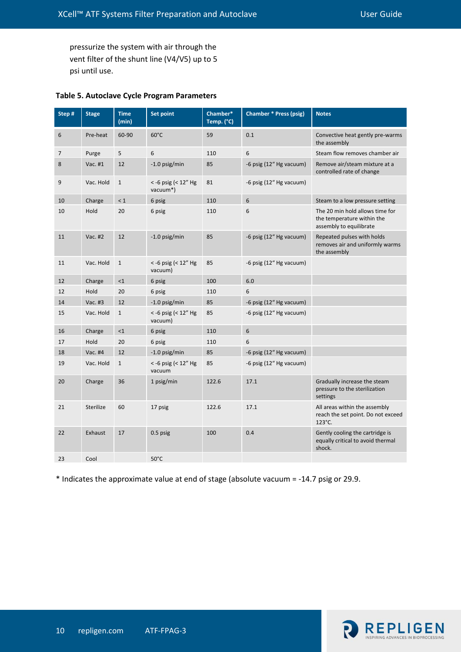pressurize the system with air through the vent filter of the shunt line (V4/V5) up to 5 psi until use.

| Step # | <b>Stage</b> | <b>Time</b><br>(min) | <b>Set point</b>                    | Chamber*<br>Temp. (°C) | <b>Chamber * Press (psig)</b> | <b>Notes</b>                                                                             |
|--------|--------------|----------------------|-------------------------------------|------------------------|-------------------------------|------------------------------------------------------------------------------------------|
| 6      | Pre-heat     | 60-90                | $60^{\circ}$ C                      | 59                     | 0.1                           | Convective heat gently pre-warms<br>the assembly                                         |
| 7      | Purge        | 5                    | 6                                   | 110                    | 6                             | Steam flow removes chamber air                                                           |
| 8      | Vac. #1      | 12                   | -1.0 psig/min                       | 85                     | -6 psig (12" Hg vacuum)       | Remove air/steam mixture at a<br>controlled rate of change                               |
| 9      | Vac. Hold    | $\mathbf{1}$         | $<$ -6 psig (< 12" Hg<br>vacuum*)   | 81                     | -6 psig (12" Hg vacuum)       |                                                                                          |
| 10     | Charge       | < 1                  | 6 psig                              | 110                    | 6                             | Steam to a low pressure setting                                                          |
| 10     | Hold         | 20                   | 6 psig                              | 110                    | 6                             | The 20 min hold allows time for<br>the temperature within the<br>assembly to equilibrate |
| 11     | Vac. #2      | 12                   | -1.0 psig/min                       | 85                     | -6 psig (12" Hg vacuum)       | Repeated pulses with holds<br>removes air and uniformly warms<br>the assembly            |
| 11     | Vac. Hold    | $\mathbf{1}$         | $<$ -6 psig ( $<$ 12" Hg<br>vacuum) | 85                     | -6 psig (12" Hg vacuum)       |                                                                                          |
| 12     | Charge       | $<$ 1                | 6 psig                              | 100                    | 6.0                           |                                                                                          |
| 12     | Hold         | 20                   | 6 psig                              | 110                    | 6                             |                                                                                          |
| 14     | Vac. #3      | 12                   | $-1.0$ psig/min                     | 85                     | -6 psig (12" Hg vacuum)       |                                                                                          |
| 15     | Vac. Hold    | $\mathbf{1}$         | <-6 psig (< 12" Hg<br>vacuum)       | 85                     | -6 psig (12" Hg vacuum)       |                                                                                          |
| 16     | Charge       | <1                   | 6 psig                              | 110                    | 6                             |                                                                                          |
| 17     | Hold         | 20                   | 6 psig                              | 110                    | 6                             |                                                                                          |
| 18     | Vac. #4      | 12                   | -1.0 psig/min                       | 85                     | -6 psig (12" Hg vacuum)       |                                                                                          |
| 19     | Vac. Hold    | $\mathbf{1}$         | < -6 psig (< 12" Hg<br>vacuum       | 85                     | -6 psig (12" Hg vacuum)       |                                                                                          |
| 20     | Charge       | 36                   | 1 psig/min                          | 122.6                  | 17.1                          | Gradually increase the steam<br>pressure to the sterilization<br>settings                |
| 21     | Sterilize    | 60                   | 17 psig                             | 122.6                  | 17.1                          | All areas within the assembly<br>reach the set point. Do not exceed<br>$123^{\circ}$ C.  |
| 22     | Exhaust      | 17                   | 0.5 psig                            | 100                    | 0.4                           | Gently cooling the cartridge is<br>equally critical to avoid thermal<br>shock.           |
| 23     | Cool         |                      | $50^{\circ}$ C                      |                        |                               |                                                                                          |

#### **Table 5. Autoclave Cycle Program Parameters**

\* Indicates the approximate value at end of stage (absolute vacuum = -14.7 psig or 29.9.